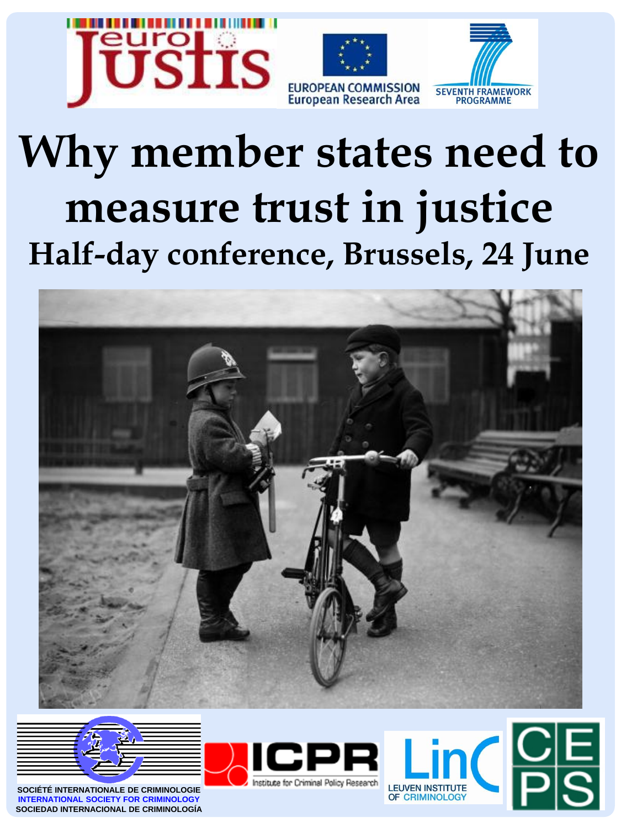

## **Why member states need to measure trust in justice Half-day conference, Brussels, 24 June**





**SOCIÉTÉ INTERNATIONALE DE CRIMINOLOGIE INTERNATIONAL SOCIETY FOR CRIMINOLOGY SOCIEDAD INTERNACIONAL DE CRIMINOLOGÍA**

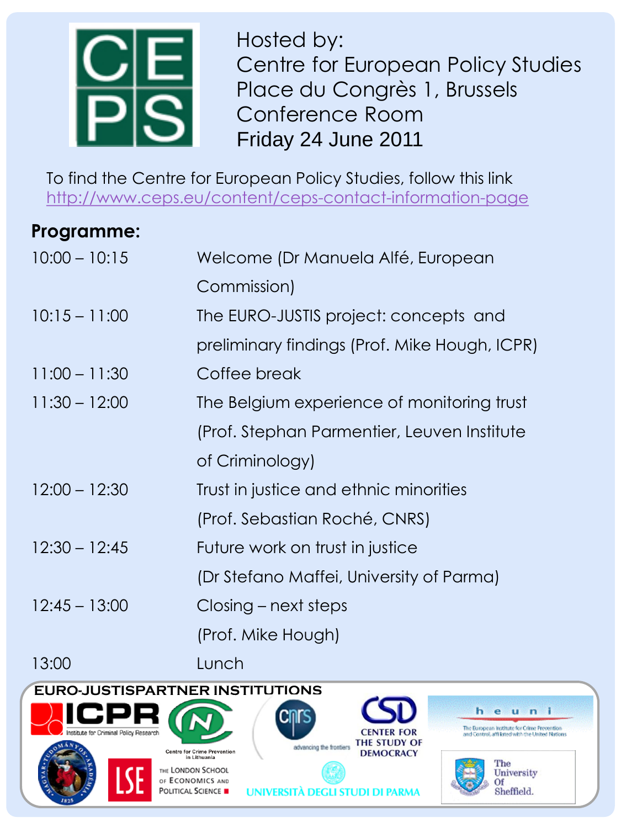

Hosted by: Centre for European Policy Studies Place du Congrès 1, Brussels Conference Room Friday 24 June 2011

To find the Centre for European Policy Studies, follow this link <http://www.ceps.eu/content/ceps-contact-information-page>

## **Programme:**

| $10:00 - 10:15$ | Welcome (Dr Manuela Alfé, European            |
|-----------------|-----------------------------------------------|
|                 | Commission)                                   |
| $10:15 - 11:00$ | The EURO-JUSTIS project: concepts and         |
|                 | preliminary findings (Prof. Mike Hough, ICPR) |
| $11:00 - 11:30$ | Coffee break                                  |
| $11:30 - 12:00$ | The Belgium experience of monitoring trust    |
|                 | (Prof. Stephan Parmentier, Leuven Institute   |
|                 | of Criminology)                               |
| $12:00 - 12:30$ | Trust in justice and ethnic minorities        |
|                 | (Prof. Sebastian Roché, CNRS)                 |
| $12:30 - 12:45$ | Future work on trust in justice               |
|                 | (Dr Stefano Maffei, University of Parma)      |
| $12:45 - 13:00$ | Closing – next steps                          |
|                 | (Prof. Mike Hough)                            |
|                 |                                               |